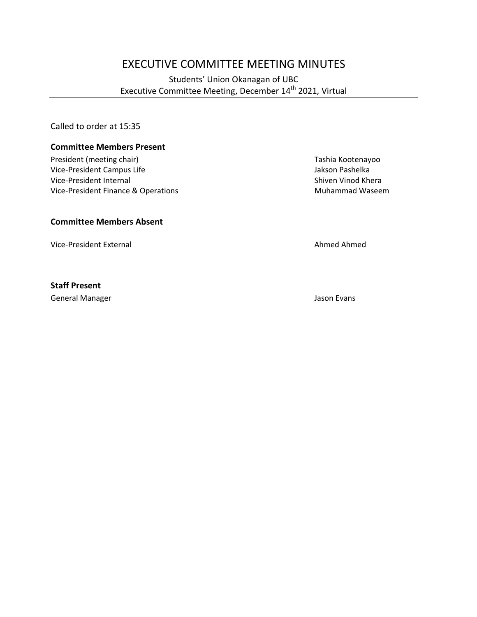# EXECUTIVE COMMITTEE MEETING MINUTES

# Students' Union Okanagan of UBC Executive Committee Meeting, December 14<sup>th</sup> 2021, Virtual

Called to order at 15:35

#### **Committee Members Present**

President (meeting chair) Tashia Kootenayoo Vice-President Campus Life and Company of the School and School and School and School and School and Vice-President Internal control of the Vice-President Internal control of the Vice-President Internal control of the Scho Vice-President Internal Vice-President Finance & Operations Muhammad Waseem

## **Committee Members Absent**

Vice-President External Ahmed Ahmed Ahmed Ahmed Ahmed Ahmed Ahmed Ahmed Ahmed Ahmed Ahmed Ahmed Ahmed Ahmed Ahmed Ahmed Ahmed Ahmed Ahmed Ahmed Ahmed Ahmed Ahmed Ahmed Ahmed Ahmed Ahmed Ahmed Ahmed Ahmed Ahmed Ahmed Ahmed

#### **Staff Present**

General Manager Jason Evans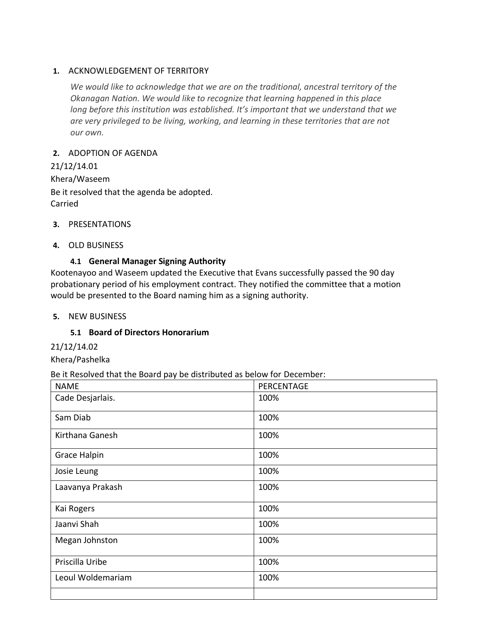## **1.** ACKNOWLEDGEMENT OF TERRITORY

*We would like to acknowledge that we are on the traditional, ancestral territory of the Okanagan Nation. We would like to recognize that learning happened in this place long before this institution was established. It's important that we understand that we are very privileged to be living, working, and learning in these territories that are not our own.*

## **2.** ADOPTION OF AGENDA

21/12/14.01 Khera/Waseem Be it resolved that the agenda be adopted. Carried

- **3.** PRESENTATIONS
- **4.** OLD BUSINESS

# **4.1 General Manager Signing Authority**

Kootenayoo and Waseem updated the Executive that Evans successfully passed the 90 day probationary period of his employment contract. They notified the committee that a motion would be presented to the Board naming him as a signing authority.

# **5.** NEW BUSINESS

# **5.1 Board of Directors Honorarium**

21/12/14.02

Khera/Pashelka

#### Be it Resolved that the Board pay be distributed as below for December:

| <b>NAME</b>         | PERCENTAGE |
|---------------------|------------|
| Cade Desjarlais.    | 100%       |
| Sam Diab            | 100%       |
| Kirthana Ganesh     | 100%       |
| <b>Grace Halpin</b> | 100%       |
| Josie Leung         | 100%       |
| Laavanya Prakash    | 100%       |
| Kai Rogers          | 100%       |
| Jaanvi Shah         | 100%       |
| Megan Johnston      | 100%       |
| Priscilla Uribe     | 100%       |
| Leoul Woldemariam   | 100%       |
|                     |            |